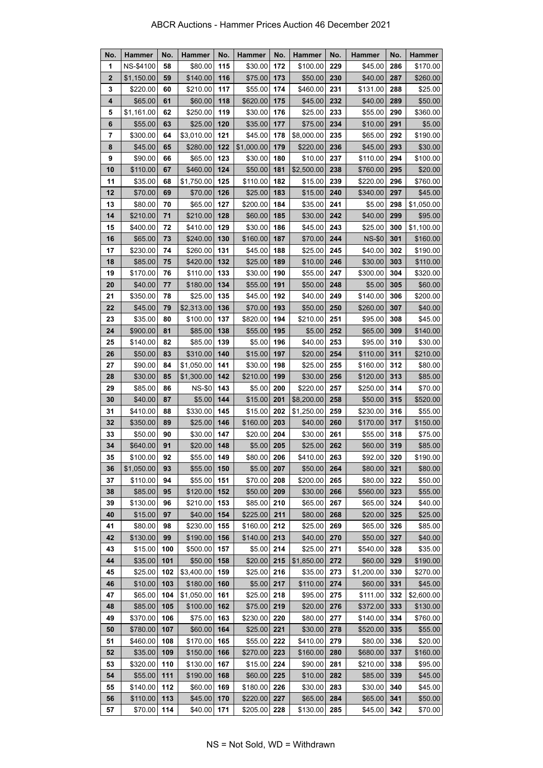| No.            | Hammer     | No. | Hammer        | No. | <b>Hammer</b> | No. | <b>Hammer</b> | No. | <b>Hammer</b> | No. | <b>Hammer</b> |
|----------------|------------|-----|---------------|-----|---------------|-----|---------------|-----|---------------|-----|---------------|
| 1              | NS-\$4100  | 58  | \$80.00       | 115 | \$30.00       | 172 | \$100.00      | 229 | \$45.00       | 286 | \$170.00      |
| $\overline{2}$ | \$1,150.00 | 59  | \$140.00      | 116 | \$75.00       | 173 | \$50.00       | 230 | \$40.00       | 287 | \$260.00      |
| 3              | \$220.00   | 60  | \$210.00      | 117 | \$55.00       | 174 | \$460.00      | 231 | \$131.00      | 288 | \$25.00       |
| 4              | \$65.00    | 61  | \$60.00       | 118 | \$620.00      | 175 | \$45.00       | 232 | \$40.00       | 289 | \$50.00       |
| 5              | \$1,161.00 | 62  | \$250.00      | 119 | \$30.00       | 176 | \$25.00       | 233 | \$55.00       | 290 | \$360.00      |
| 6              | \$55.00    | 63  | \$25.00       | 120 | \$35.00       | 177 | \$75.00       | 234 | \$10.00       | 291 | \$5.00        |
| 7              | \$300.00   | 64  | \$3,010.00    | 121 | \$45.00       | 178 | \$8,000.00    | 235 | \$65.00       | 292 | \$190.00      |
| 8              | \$45.00    | 65  | \$280.00      | 122 | \$1,000.00    | 179 | \$220.00      | 236 | \$45.00       | 293 | \$30.00       |
| 9              | \$90.00    | 66  | \$65.00       | 123 | \$30.00       | 180 | \$10.00       | 237 | \$110.00      | 294 | \$100.00      |
| 10             | \$110.00   | 67  | \$460.00      | 124 | \$50.00       | 181 | \$2,500.00    | 238 | \$760.00      | 295 | \$20.00       |
| 11             | \$35.00    | 68  | \$1,750.00    | 125 | \$110.00      | 182 | \$15.00       | 239 | \$220.00      | 296 | \$760.00      |
| 12             | \$70.00    | 69  | \$70.00       | 126 | \$25.00       | 183 | \$15.00       | 240 | \$340.00      | 297 | \$45.00       |
| 13             | \$80.00    | 70  | \$65.00       | 127 | \$200.00      | 184 | \$35.00       | 241 | \$5.00        | 298 | \$1,050.00    |
| 14             | \$210.00   | 71  | \$210.00      | 128 | \$60.00       | 185 | \$30.00       | 242 | \$40.00       | 299 | \$95.00       |
| 15             | \$400.00   | 72  | \$410.00      | 129 | \$30.00       | 186 | \$45.00       | 243 | \$25.00       | 300 | \$1,100.00    |
| 16             | \$65.00    | 73  | \$240.00      | 130 | \$160.00      | 187 | \$70.00       | 244 | <b>NS-\$0</b> | 301 | \$160.00      |
| 17             | \$230.00   | 74  | \$260.00      | 131 | \$45.00       | 188 | \$25.00       | 245 | \$40.00       | 302 | \$190.00      |
| 18             | \$85.00    | 75  | \$420.00      | 132 | \$25.00       | 189 | \$10.00       | 246 | \$30.00       | 303 | \$110.00      |
| 19             | \$170.00   | 76  | \$110.00      | 133 | \$30.00       | 190 | \$55.00       | 247 | \$300.00      | 304 | \$320.00      |
| 20             | \$40.00    | 77  | \$180.00      | 134 | \$55.00       | 191 | \$50.00       | 248 | \$5.00        | 305 | \$60.00       |
| 21             | \$350.00   | 78  | \$25.00       | 135 | \$45.00       | 192 | \$40.00       | 249 | \$140.00      | 306 | \$200.00      |
| 22             | \$45.00    | 79  | \$2,313.00    | 136 | \$70.00       | 193 | \$50.00       | 250 | \$260.00      | 307 | \$40.00       |
| 23             | \$35.00    | 80  | \$100.00      | 137 | \$820.00      | 194 | \$210.00      | 251 | \$95.00       | 308 | \$45.00       |
| 24             | \$900.00   | 81  | \$85.00       | 138 | \$55.00       | 195 | \$5.00        | 252 | \$65.00       | 309 | \$140.00      |
| 25             | \$140.00   | 82  | \$85.00       | 139 | \$5.00        | 196 | \$40.00       | 253 | \$95.00       | 310 | \$30.00       |
| 26             | \$50.00    | 83  | \$310.00      | 140 | \$15.00       | 197 | \$20.00       | 254 | \$110.00      | 311 | \$210.00      |
| 27             | \$90.00    | 84  | \$1,050.00    | 141 | \$30.00       | 198 | \$25.00       | 255 | \$160.00      | 312 | \$80.00       |
| 28             | \$30.00    | 85  | \$1,300.00    | 142 | \$210.00      | 199 | \$30.00       | 256 | \$120.00      | 313 | \$85.00       |
| 29             | \$85.00    | 86  | <b>NS-\$0</b> | 143 | \$5.00        | 200 | \$220.00      | 257 | \$250.00      | 314 | \$70.00       |
| 30             | \$40.00    | 87  | \$5.00        | 144 | \$15.00       | 201 | \$8,200.00    | 258 | \$50.00       | 315 | \$520.00      |
| 31             | \$410.00   | 88  | \$330.00      | 145 | \$15.00       | 202 | \$1,250.00    | 259 | \$230.00      | 316 | \$55.00       |
| 32             | \$350.00   | 89  | \$25.00       | 146 | \$160.00      | 203 | \$40.00       | 260 | \$170.00      | 317 | \$150.00      |
| 33             | \$50.00    | 90  | \$30.00       | 147 | \$20.00       | 204 | \$30.00       | 261 | \$55.00       | 318 | \$75.00       |
| 34             | \$640.00   | 91  | \$20.00       | 148 | \$5.00        | 205 | \$25.00       | 262 | \$60.00       | 319 | \$85.00       |
| 35             | \$100.00   | 92  | $$55.00$ 149  |     | \$80.00 206   |     | \$410.00      | 263 | \$92.00       | 320 | \$190.00      |
| 36             | \$1,050.00 | 93  | \$55.00       | 150 | \$5.00        | 207 | \$50.00       | 264 | \$80.00       | 321 | \$80.00       |
| 37             | \$110.00   | 94  | \$55.00       | 151 | \$70.00       | 208 | \$200.00      | 265 | \$80.00       | 322 | \$50.00       |
| 38             | \$85.00    | 95  | \$120.00      | 152 | \$50.00       | 209 | \$30.00       | 266 | \$560.00      | 323 | \$55.00       |
| 39             | \$130.00   | 96  | \$210.00      | 153 | \$85.00       | 210 | \$65.00       | 267 | \$65.00       | 324 | \$40.00       |
| 40             | \$15.00    | 97  | \$40.00       | 154 | \$225.00      | 211 | \$80.00       | 268 | \$20.00       | 325 | \$25.00       |
| 41             | \$80.00    | 98  | \$230.00      | 155 | \$160.00      | 212 | \$25.00       | 269 | \$65.00       | 326 | \$85.00       |
| 42             | \$130.00   | 99  | \$190.00      | 156 | \$140.00      | 213 | \$40.00       | 270 | \$50.00       | 327 | \$40.00       |
| 43             | \$15.00    | 100 | \$500.00      | 157 | \$5.00        | 214 | \$25.00       | 271 | \$540.00      | 328 | \$35.00       |
| 44             | \$35.00    | 101 | \$50.00       | 158 | \$20.00       | 215 | \$1,850.00    | 272 | \$60.00       | 329 | \$190.00      |
| 45             | \$25.00    | 102 | \$3,400.00    | 159 | \$25.00       | 216 | \$35.00       | 273 | \$1,200.00    | 330 | \$270.00      |
| 46             | \$10.00    | 103 | \$180.00      | 160 | \$5.00        | 217 | \$110.00      | 274 | \$60.00       | 331 | \$45.00       |
| 47             | \$65.00    | 104 | \$1,050.00    | 161 | \$25.00       | 218 | \$95.00       | 275 | \$111.00      | 332 | \$2,600.00    |
| 48             | \$85.00    | 105 | \$100.00      | 162 | \$75.00       | 219 | \$20.00       | 276 | \$372.00      | 333 | \$130.00      |
| 49             | \$370.00   | 106 | \$75.00       | 163 | \$230.00      | 220 | \$80.00       | 277 | \$140.00      | 334 | \$760.00      |
| 50             | \$780.00   | 107 | \$60.00       | 164 | \$25.00       | 221 | \$30.00       | 278 | \$520.00      | 335 | \$55.00       |
| 51             | \$460.00   | 108 | \$170.00      | 165 | \$55.00       | 222 | \$410.00      | 279 | \$80.00       | 336 | \$20.00       |
| 52             | \$35.00    | 109 | \$150.00      | 166 | \$270.00      | 223 | \$160.00      | 280 | \$680.00      | 337 | \$160.00      |
| 53             | \$320.00   | 110 | \$130.00      | 167 | \$15.00       | 224 | \$90.00       | 281 | \$210.00      | 338 | \$95.00       |
| 54             | \$55.00    | 111 | \$190.00      | 168 | \$60.00       | 225 | \$10.00       | 282 | \$85.00       | 339 | \$45.00       |
| 55             | \$140.00   | 112 | \$60.00       | 169 | \$180.00      | 226 | \$30.00       | 283 | \$30.00       | 340 | \$45.00       |
| 56             | \$110.00   | 113 | \$45.00       | 170 | \$220.00      | 227 | \$65.00       | 284 | \$65.00       | 341 | \$50.00       |
| 57             | \$70.00    | 114 | \$40.00       | 171 | \$205.00      | 228 | \$130.00      | 285 | \$45.00       | 342 | \$70.00       |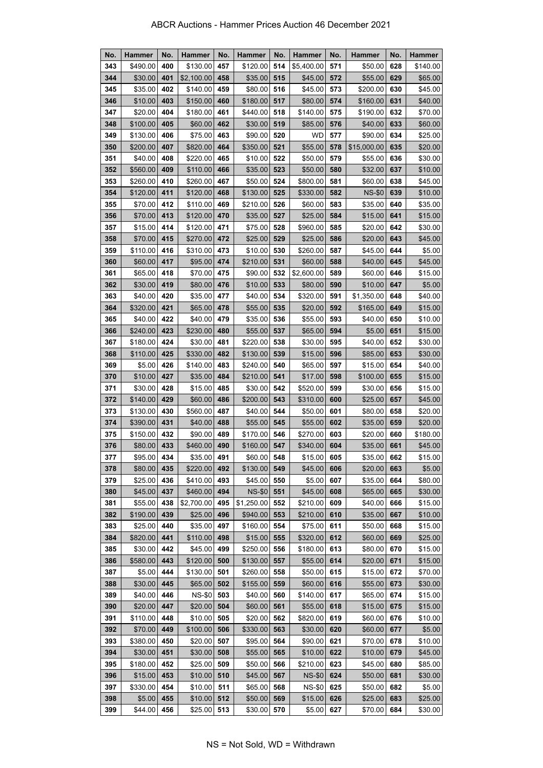| No. | <b>Hammer</b> | No. | <b>Hammer</b> | No. | <b>Hammer</b> | No. | <b>Hammer</b> | No. | <b>Hammer</b> | No. | <b>Hammer</b> |
|-----|---------------|-----|---------------|-----|---------------|-----|---------------|-----|---------------|-----|---------------|
| 343 | \$490.00      | 400 | \$130.00      | 457 | \$120.00      | 514 | \$5,400.00    | 571 | \$50.00       | 628 | \$140.00      |
| 344 | \$30.00       | 401 | \$2,100.00    | 458 | \$35.00       | 515 | \$45.00       | 572 | \$55.00       | 629 | \$65.00       |
| 345 | \$35.00       | 402 | \$140.00      | 459 | \$80.00       | 516 | \$45.00       | 573 | \$200.00      | 630 | \$45.00       |
| 346 | \$10.00       | 403 | \$150.00      | 460 | \$180.00      | 517 | \$80.00       | 574 | \$160.00      | 631 | \$40.00       |
| 347 | \$20.00       | 404 | \$180.00      | 461 | \$440.00      | 518 | \$140.00      | 575 | \$190.00      | 632 | \$70.00       |
| 348 | \$100.00      | 405 | \$60.00       | 462 | \$30.00       | 519 | \$85.00       | 576 | \$40.00       | 633 | \$60.00       |
| 349 | \$130.00      | 406 | \$75.00       | 463 | \$90.00       | 520 | <b>WD</b>     | 577 | \$90.00       | 634 | \$25.00       |
| 350 | \$200.00      | 407 | \$820.00      | 464 | \$350.00      | 521 | \$55.00       | 578 | \$15,000.00   | 635 | \$20.00       |
| 351 | \$40.00       | 408 | \$220.00      | 465 | \$10.00       | 522 | \$50.00       | 579 | \$55.00       | 636 | \$30.00       |
| 352 | \$560.00      | 409 | \$110.00      | 466 | \$35.00       | 523 | \$50.00       | 580 | \$32.00       | 637 | \$10.00       |
| 353 | \$260.00      | 410 | \$260.00      | 467 | \$50.00       | 524 | \$800.00      | 581 | \$60.00       | 638 | \$45.00       |
| 354 | \$120.00      | 411 | \$120.00      | 468 | \$130.00      | 525 | \$330.00      | 582 | <b>NS-\$0</b> | 639 | \$10.00       |
| 355 | \$70.00       | 412 | \$110.00      | 469 | \$210.00      | 526 | \$60.00       | 583 | \$35.00       | 640 | \$35.00       |
| 356 | \$70.00       | 413 | \$120.00      | 470 | \$35.00       | 527 | \$25.00       | 584 | \$15.00       | 641 | \$15.00       |
| 357 | \$15.00       | 414 | \$120.00      | 471 | \$75.00       | 528 | \$960.00      | 585 | \$20.00       | 642 | \$30.00       |
| 358 | \$70.00       | 415 | \$270.00      | 472 | \$25.00       | 529 | \$25.00       | 586 | \$20.00       | 643 | \$45.00       |
| 359 | \$110.00      | 416 | \$310.00      | 473 | \$10.00       | 530 | \$260.00      | 587 | \$45.00       | 644 | \$5.00        |
| 360 | \$60.00       | 417 | \$95.00       | 474 | \$210.00      | 531 | \$60.00       | 588 | \$40.00       | 645 | \$45.00       |
| 361 | \$65.00       | 418 | \$70.00       | 475 | \$90.00       | 532 | \$2,600.00    | 589 | \$60.00       | 646 | \$15.00       |
| 362 | \$30.00       | 419 | \$80.00       | 476 | \$10.00       | 533 | \$80.00       | 590 | \$10.00       | 647 | \$5.00        |
| 363 | \$40.00       | 420 | \$35.00       | 477 | \$40.00       | 534 | \$320.00      | 591 | \$1,350.00    | 648 | \$40.00       |
| 364 | \$320.00      | 421 | \$65.00       | 478 | \$55.00       | 535 | \$20.00       | 592 | \$165.00      | 649 | \$15.00       |
| 365 | \$40.00       | 422 | \$40.00       | 479 | \$35.00       | 536 | \$55.00       | 593 | \$40.00       | 650 | \$10.00       |
| 366 | \$240.00      | 423 | \$230.00      | 480 | \$55.00       | 537 | \$65.00       | 594 | \$5.00        | 651 | \$15.00       |
| 367 | \$180.00      | 424 | \$30.00       | 481 | \$220.00      | 538 | \$30.00       | 595 | \$40.00       | 652 | \$30.00       |
| 368 | \$110.00      | 425 | \$330.00      | 482 | \$130.00      | 539 | \$15.00       | 596 | \$85.00       | 653 | \$30.00       |
| 369 | \$5.00        | 426 | \$140.00      | 483 | \$240.00      | 540 | \$65.00       | 597 | \$15.00       | 654 | \$40.00       |
| 370 | \$10.00       | 427 | \$35.00       | 484 | \$210.00      | 541 | \$17.00       | 598 | \$100.00      | 655 | \$15.00       |
| 371 | \$30.00       | 428 | \$15.00       | 485 | \$30.00       | 542 | \$520.00      | 599 | \$30.00       | 656 | \$15.00       |
| 372 | \$140.00      | 429 | \$60.00       | 486 | \$200.00      | 543 | \$310.00      | 600 | \$25.00       | 657 | \$45.00       |
| 373 | \$130.00      | 430 | \$560.00      | 487 | \$40.00       | 544 | \$50.00       | 601 | \$80.00       | 658 | \$20.00       |
| 374 | \$390.00      | 431 | \$40.00       | 488 | \$55.00       | 545 | \$55.00       | 602 | \$35.00       | 659 | \$20.00       |
| 375 | \$150.00      | 432 | \$90.00       | 489 | \$170.00      | 546 | \$270.00      | 603 | \$20.00       | 660 | \$180.00      |
| 376 | \$80.00       | 433 | \$460.00      | 490 | \$160.00      | 547 | \$340.00      | 604 | \$35.00       | 661 | \$45.00       |
| 377 | \$95.00       | 434 | \$35.00       | 491 | \$60.00       | 548 | \$15.00       | 605 | \$35.00       | 662 | \$15.00       |
| 378 | \$80.00       | 435 | \$220.00      | 492 | \$130.00      | 549 | \$45.00       | 606 | \$20.00       | 663 | \$5.00        |
| 379 | \$25.00       | 436 | \$410.00      | 493 | \$45.00       | 550 | \$5.00        | 607 | \$35.00       | 664 | \$80.00       |
| 380 | \$45.00       | 437 | \$460.00      | 494 | <b>NS-\$0</b> | 551 | \$45.00       | 608 | \$65.00       | 665 | \$30.00       |
| 381 | \$55.00       | 438 | \$2,700.00    | 495 | \$1,250.00    | 552 | \$210.00      | 609 | \$40.00       | 666 | \$15.00       |
| 382 | \$190.00      | 439 | \$25.00       | 496 | \$940.00      | 553 | \$210.00      | 610 | \$35.00       | 667 | \$10.00       |
| 383 | \$25.00       | 440 | \$35.00       | 497 | \$160.00      | 554 | \$75.00       | 611 | \$50.00       | 668 | \$15.00       |
| 384 | \$820.00      | 441 | \$110.00      | 498 | \$15.00       | 555 | \$320.00      | 612 | \$60.00       | 669 | \$25.00       |
| 385 | \$30.00       | 442 | \$45.00       | 499 | \$250.00      | 556 | \$180.00      | 613 | \$80.00       | 670 | \$15.00       |
| 386 | \$580.00      | 443 | \$120.00      | 500 | \$130.00      | 557 | \$55.00       | 614 | \$20.00       | 671 | \$15.00       |
| 387 | \$5.00        | 444 | \$130.00      | 501 | \$260.00      | 558 | \$50.00       | 615 | \$15.00       | 672 | \$70.00       |
| 388 | \$30.00       | 445 | \$65.00       | 502 | \$155.00      | 559 | \$60.00       | 616 | \$55.00       | 673 | \$30.00       |
| 389 | \$40.00       | 446 | <b>NS-\$0</b> | 503 | \$40.00       | 560 | \$140.00      | 617 | \$65.00       | 674 | \$15.00       |
| 390 | \$20.00       | 447 | \$20.00       | 504 | \$60.00       | 561 | \$55.00       | 618 | \$15.00       | 675 | \$15.00       |
| 391 | \$110.00      | 448 | \$10.00       | 505 | \$20.00       | 562 | \$820.00      | 619 | \$60.00       | 676 | \$10.00       |
| 392 | \$70.00       | 449 | \$100.00      | 506 | \$330.00      | 563 | \$30.00       | 620 | \$60.00       | 677 | \$5.00        |
| 393 | \$380.00      | 450 | \$20.00       | 507 | \$95.00       | 564 | \$90.00       | 621 | \$70.00       | 678 | \$10.00       |
| 394 | \$30.00       | 451 | \$30.00       | 508 | \$55.00       | 565 | \$10.00       | 622 | \$10.00       | 679 | \$45.00       |
| 395 | \$180.00      | 452 | \$25.00       | 509 | \$50.00       | 566 | \$210.00      | 623 | \$45.00       | 680 | \$85.00       |
| 396 | \$15.00       | 453 | \$10.00       | 510 | \$45.00       | 567 | <b>NS-\$0</b> | 624 | \$50.00       | 681 | \$30.00       |
| 397 | \$330.00      | 454 | \$10.00       | 511 | \$65.00       | 568 | <b>NS-\$0</b> | 625 | \$50.00       | 682 | \$5.00        |
| 398 | \$5.00        | 455 | \$10.00       | 512 | \$50.00       | 569 | \$15.00       | 626 | \$25.00       | 683 | \$25.00       |
| 399 | \$44.00       | 456 | \$25.00       | 513 | \$30.00       | 570 | \$5.00        | 627 | \$70.00       | 684 | \$30.00       |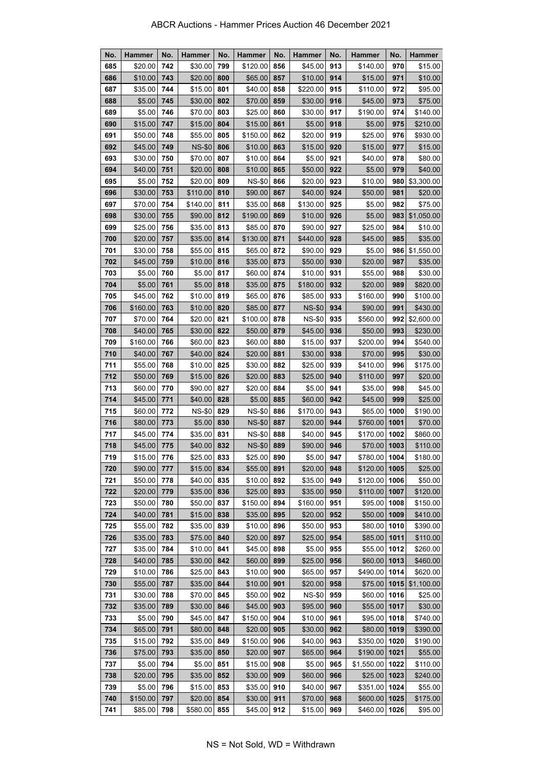| No. | <b>Hammer</b> | No. | Hammer        | No. | <b>Hammer</b> | No. | <b>Hammer</b> | No. | <b>Hammer</b> | No.  | <b>Hammer</b> |
|-----|---------------|-----|---------------|-----|---------------|-----|---------------|-----|---------------|------|---------------|
| 685 | \$20.00       | 742 | \$30.00       | 799 | \$120.00      | 856 | \$45.00       | 913 | \$140.00      | 970  | \$15.00       |
| 686 | \$10.00       | 743 | \$20.00       | 800 | \$65.00       | 857 | \$10.00       | 914 | \$15.00       | 971  | \$10.00       |
| 687 | \$35.00       | 744 | \$15.00       | 801 | \$40.00       | 858 | \$220.00      | 915 | \$110.00      | 972  | \$95.00       |
| 688 | \$5.00        | 745 | \$30.00       | 802 | \$70.00       | 859 | \$30.00       | 916 | \$45.00       | 973  | \$75.00       |
| 689 | \$5.00        | 746 | \$70.00       | 803 | \$25.00       | 860 | \$30.00       | 917 | \$190.00      | 974  | \$140.00      |
| 690 | \$15.00       | 747 | \$15.00       | 804 | \$15.00       | 861 | \$5.00        | 918 | \$5.00        | 975  | \$210.00      |
| 691 | \$50.00       | 748 | \$55.00       | 805 | \$150.00      | 862 | \$20.00       | 919 | \$25.00       | 976  | \$930.00      |
| 692 | \$45.00       | 749 | <b>NS-\$0</b> | 806 | \$10.00       | 863 | \$15.00       | 920 | \$15.00       | 977  | \$15.00       |
| 693 | \$30.00       | 750 | \$70.00       | 807 | \$10.00       | 864 | \$5.00        | 921 | \$40.00       | 978  | \$80.00       |
| 694 | \$40.00       | 751 | \$20.00       | 808 | \$10.00       | 865 | \$50.00       | 922 | \$5.00        | 979  | \$40.00       |
| 695 | \$5.00        | 752 | \$20.00       | 809 | <b>NS-\$0</b> | 866 | \$20.00       | 923 | \$10.00       | 980  | \$3,300.00    |
| 696 | \$30.00       | 753 | \$110.00      | 810 | \$90.00       | 867 | \$40.00       | 924 | \$50.00       | 981  | \$20.00       |
| 697 | \$70.00       | 754 | \$140.00      | 811 | \$35.00       | 868 | \$130.00      | 925 | \$5.00        | 982  | \$75.00       |
| 698 | \$30.00       | 755 | \$90.00       | 812 | \$190.00      | 869 | \$10.00       | 926 | \$5.00        | 983  | \$1,050.00    |
| 699 | \$25.00       | 756 | \$35.00       | 813 | \$85.00       | 870 | \$90.00       | 927 | \$25.00       | 984  | \$10.00       |
| 700 | \$20.00       | 757 | \$35.00       | 814 | \$130.00      | 871 | \$440.00      | 928 | \$45.00       | 985  | \$35.00       |
| 701 | \$30.00       | 758 | \$55.00       | 815 | \$65.00       | 872 | \$90.00       | 929 | \$5.00        | 986  | \$1,550.00    |
| 702 | \$45.00       | 759 | \$10.00       | 816 | \$35.00       | 873 | \$50.00       | 930 | \$20.00       | 987  | \$35.00       |
| 703 | \$5.00        | 760 | \$5.00        | 817 | \$60.00       | 874 | \$10.00       | 931 | \$55.00       | 988  | \$30.00       |
| 704 | \$5.00        | 761 | \$5.00        | 818 | \$35.00       | 875 | \$180.00      | 932 | \$20.00       | 989  | \$820.00      |
| 705 | \$45.00       | 762 | \$10.00       | 819 | \$65.00       | 876 | \$85.00       | 933 | \$160.00      | 990  | \$100.00      |
| 706 | \$160.00      | 763 | \$10.00       | 820 | \$85.00       | 877 | <b>NS-\$0</b> | 934 | \$90.00       | 991  | \$430.00      |
| 707 | \$70.00       | 764 | \$20.00       | 821 | \$100.00      | 878 | <b>NS-\$0</b> | 935 | \$560.00      | 992  | \$2,600.00    |
| 708 | \$40.00       | 765 | \$30.00       | 822 | \$50.00       | 879 | \$45.00       | 936 | \$50.00       | 993  | \$230.00      |
| 709 | \$160.00      | 766 | \$60.00       | 823 | \$60.00       | 880 | \$15.00       | 937 | \$200.00      | 994  | \$540.00      |
| 710 | \$40.00       | 767 | \$40.00       | 824 | \$20.00       | 881 | \$30.00       | 938 | \$70.00       | 995  | \$30.00       |
| 711 | \$55.00       | 768 | \$10.00       | 825 | \$30.00       | 882 | \$25.00       | 939 | \$410.00      | 996  | \$175.00      |
| 712 | \$50.00       | 769 | \$15.00       | 826 | \$20.00       | 883 | \$25.00       | 940 | \$110.00      | 997  | \$20.00       |
| 713 | \$60.00       | 770 | \$90.00       | 827 | \$20.00       | 884 | \$5.00        | 941 | \$35.00       | 998  | \$45.00       |
| 714 | \$45.00       | 771 | \$40.00       | 828 | \$5.00        | 885 | \$60.00       | 942 | \$45.00       | 999  | \$25.00       |
| 715 | \$60.00       | 772 | <b>NS-\$0</b> | 829 | <b>NS-\$0</b> | 886 | \$170.00      | 943 | \$65.00       | 1000 | \$190.00      |
| 716 | \$80.00       | 773 | \$5.00        | 830 | <b>NS-\$0</b> | 887 | \$20.00       | 944 | \$760.00      | 1001 | \$70.00       |
| 717 | \$45.00       | 774 | \$35.00       | 831 | <b>NS-\$0</b> | 888 | \$40.00       | 945 | \$170.00      | 1002 | \$860.00      |
| 718 | \$45.00       | 775 | \$40.00       | 832 | <b>NS-\$0</b> | 889 | \$90.00       | 946 | \$70.00       | 1003 | \$110.00      |
| 719 | \$15.00       | 776 | \$25.00       | 833 | \$25.00       | 890 | \$5.00        | 947 | \$780.00 1004 |      | \$180.00      |
| 720 | \$90.00       | 777 | \$15.00       | 834 | \$55.00       | 891 | \$20.00       | 948 | \$120.00      | 1005 | \$25.00       |
| 721 | \$50.00       | 778 | \$40.00       | 835 | \$10.00       | 892 | \$35.00       | 949 | \$120.00      | 1006 | \$50.00       |
| 722 | \$20.00       | 779 | \$35.00       | 836 | \$25.00       | 893 | \$35.00       | 950 | \$110.00      | 1007 | \$120.00      |
| 723 | \$50.00       | 780 | \$50.00       | 837 | \$150.00      | 894 | \$160.00      | 951 | \$95.00       | 1008 | \$150.00      |
| 724 | \$40.00       | 781 | \$15.00       | 838 | \$35.00       | 895 | \$20.00       | 952 | \$50.00       | 1009 | \$410.00      |
| 725 | \$55.00       | 782 | \$35.00       | 839 | \$10.00       | 896 | \$50.00       | 953 | \$80.00       | 1010 | \$390.00      |
| 726 | \$35.00       | 783 | \$75.00       | 840 | \$20.00       | 897 | \$25.00       | 954 | \$85.00       | 1011 | \$110.00      |
| 727 | \$35.00       | 784 | \$10.00       | 841 | \$45.00       | 898 | \$5.00        | 955 | \$55.00       | 1012 | \$260.00      |
| 728 | \$40.00       | 785 | \$30.00       | 842 | \$60.00       | 899 | \$25.00       | 956 | \$60.00       | 1013 | \$460.00      |
| 729 | \$10.00       | 786 | \$25.00       | 843 | \$10.00       | 900 | \$65.00       | 957 | \$490.00      | 1014 | \$620.00      |
| 730 | \$55.00       | 787 | \$35.00       | 844 | \$10.00       | 901 | \$20.00       | 958 | \$75.00       | 1015 | \$1,100.00    |
| 731 | \$30.00       | 788 | \$70.00       | 845 | \$50.00       | 902 | <b>NS-\$0</b> | 959 | \$60.00       | 1016 | \$25.00       |
| 732 | \$35.00       | 789 | \$30.00       | 846 | \$45.00       | 903 | \$95.00       | 960 | \$55.00       | 1017 | \$30.00       |
| 733 | \$5.00        | 790 | \$45.00       | 847 | \$150.00      | 904 | \$10.00       | 961 | \$95.00       | 1018 | \$740.00      |
| 734 | \$65.00       | 791 | \$80.00       | 848 | \$20.00       | 905 | \$30.00       | 962 | \$80.00       | 1019 | \$390.00      |
| 735 | \$15.00       | 792 | \$35.00       | 849 | \$150.00      | 906 | \$40.00       | 963 | \$350.00      | 1020 | \$190.00      |
| 736 | \$75.00       | 793 | \$35.00       | 850 | \$20.00       | 907 | \$65.00       | 964 | \$190.00      | 1021 | \$55.00       |
| 737 | \$5.00        | 794 | \$5.00        | 851 | \$15.00       | 908 | \$5.00        | 965 | \$1,550.00    | 1022 | \$110.00      |
| 738 | \$20.00       | 795 | \$35.00       | 852 | \$30.00       | 909 | \$60.00       | 966 | \$25.00       | 1023 | \$240.00      |
| 739 | \$5.00        | 796 | \$15.00       | 853 | \$35.00       | 910 | \$40.00       | 967 | \$351.00      | 1024 | \$55.00       |
| 740 | \$150.00      | 797 | \$20.00       | 854 | \$30.00       | 911 | \$70.00       | 968 | \$600.00      | 1025 | \$175.00      |
| 741 | \$85.00       | 798 | \$580.00      | 855 | \$45.00       | 912 | \$15.00       | 969 | \$460.00      | 1026 | \$95.00       |